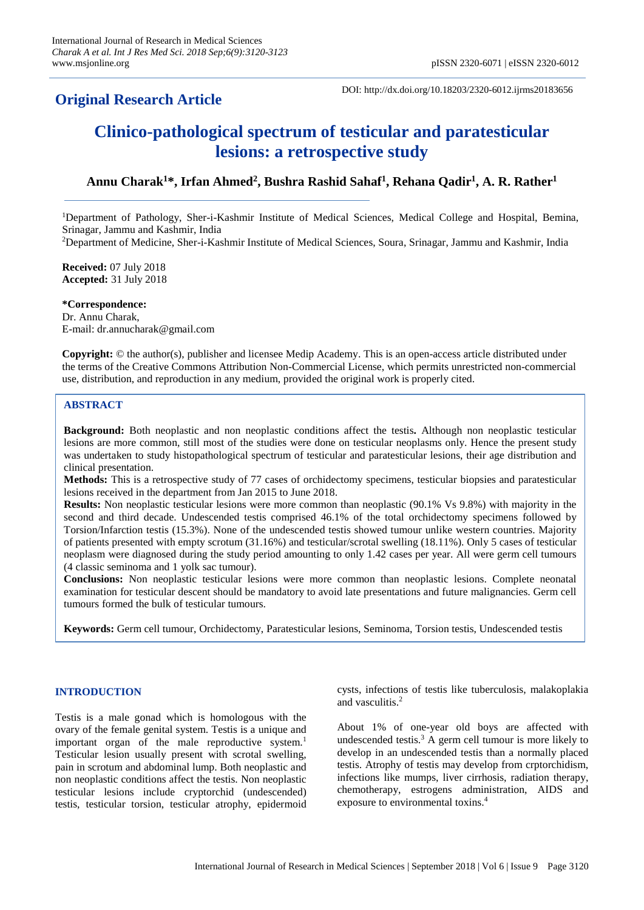# **Original Research Article**

DOI: http://dx.doi.org/10.18203/2320-6012.ijrms20183656

# **Clinico-pathological spectrum of testicular and paratesticular lesions: a retrospective study**

# **Annu Charak<sup>1</sup>\*, Irfan Ahmed<sup>2</sup> , Bushra Rashid Sahaf<sup>1</sup> , Rehana Qadir<sup>1</sup> , A. R. Rather<sup>1</sup>**

<sup>1</sup>Department of Pathology, Sher-i-Kashmir Institute of Medical Sciences, Medical College and Hospital, Bemina, Srinagar, Jammu and Kashmir, India

<sup>2</sup>Department of Medicine, Sher-i-Kashmir Institute of Medical Sciences, Soura, Srinagar, Jammu and Kashmir, India

**Received:** 07 July 2018 **Accepted:** 31 July 2018

**\*Correspondence:** Dr. Annu Charak, E-mail: dr.annucharak@gmail.com

**Copyright:** © the author(s), publisher and licensee Medip Academy. This is an open-access article distributed under the terms of the Creative Commons Attribution Non-Commercial License, which permits unrestricted non-commercial use, distribution, and reproduction in any medium, provided the original work is properly cited.

## **ABSTRACT**

**Background:** Both neoplastic and non neoplastic conditions affect the testis**.** Although non neoplastic testicular lesions are more common, still most of the studies were done on testicular neoplasms only. Hence the present study was undertaken to study histopathological spectrum of testicular and paratesticular lesions, their age distribution and clinical presentation.

**Methods:** This is a retrospective study of 77 cases of orchidectomy specimens, testicular biopsies and paratesticular lesions received in the department from Jan 2015 to June 2018.

**Results:** Non neoplastic testicular lesions were more common than neoplastic (90.1% Vs 9.8%) with majority in the second and third decade. Undescended testis comprised 46.1% of the total orchidectomy specimens followed by Torsion/Infarction testis (15.3%). None of the undescended testis showed tumour unlike western countries. Majority of patients presented with empty scrotum (31.16%) and testicular/scrotal swelling (18.11%). Only 5 cases of testicular neoplasm were diagnosed during the study period amounting to only 1.42 cases per year. All were germ cell tumours (4 classic seminoma and 1 yolk sac tumour).

**Conclusions:** Non neoplastic testicular lesions were more common than neoplastic lesions. Complete neonatal examination for testicular descent should be mandatory to avoid late presentations and future malignancies. Germ cell tumours formed the bulk of testicular tumours.

**Keywords:** Germ cell tumour, Orchidectomy, Paratesticular lesions, Seminoma, Torsion testis, Undescended testis

# **INTRODUCTION**

Testis is a male gonad which is homologous with the ovary of the female genital system. Testis is a unique and important organ of the male reproductive system.<sup>1</sup> Testicular lesion usually present with scrotal swelling, pain in scrotum and abdominal lump. Both neoplastic and non neoplastic conditions affect the testis. Non neoplastic testicular lesions include cryptorchid (undescended) testis, testicular torsion, testicular atrophy, epidermoid cysts, infections of testis like tuberculosis, malakoplakia and vasculitis.<sup>2</sup>

About 1% of one-year old boys are affected with undescended testis.<sup>3</sup> A germ cell tumour is more likely to develop in an undescended testis than a normally placed testis. Atrophy of testis may develop from crptorchidism, infections like mumps, liver cirrhosis, radiation therapy, chemotherapy, estrogens administration, AIDS and exposure to environmental toxins.<sup>4</sup>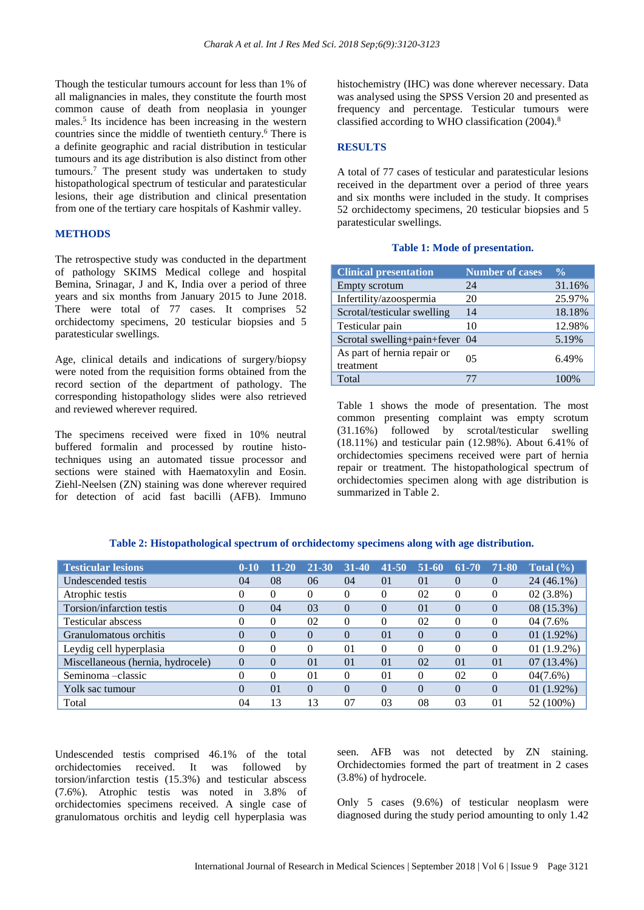Though the testicular tumours account for less than 1% of all malignancies in males, they constitute the fourth most common cause of death from neoplasia in younger males.<sup>5</sup> Its incidence has been increasing in the western countries since the middle of twentieth century.<sup>6</sup> There is a definite geographic and racial distribution in testicular tumours and its age distribution is also distinct from other tumours.<sup>7</sup> The present study was undertaken to study histopathological spectrum of testicular and paratesticular lesions, their age distribution and clinical presentation from one of the tertiary care hospitals of Kashmir valley.

# **METHODS**

The retrospective study was conducted in the department of pathology SKIMS Medical college and hospital Bemina, Srinagar, J and K, India over a period of three years and six months from January 2015 to June 2018. There were total of 77 cases. It comprises 52 orchidectomy specimens, 20 testicular biopsies and 5 paratesticular swellings.

Age, clinical details and indications of surgery/biopsy were noted from the requisition forms obtained from the record section of the department of pathology. The corresponding histopathology slides were also retrieved and reviewed wherever required.

The specimens received were fixed in 10% neutral buffered formalin and processed by routine histotechniques using an automated tissue processor and sections were stained with Haematoxylin and Eosin. Ziehl-Neelsen (ZN) staining was done wherever required for detection of acid fast bacilli (AFB). Immuno histochemistry (IHC) was done wherever necessary. Data was analysed using the SPSS Version 20 and presented as frequency and percentage. Testicular tumours were classified according to WHO classification (2004).<sup>8</sup>

## **RESULTS**

A total of 77 cases of testicular and paratesticular lesions received in the department over a period of three years and six months were included in the study. It comprises 52 orchidectomy specimens, 20 testicular biopsies and 5 paratesticular swellings.

#### **Table 1: Mode of presentation.**

| <b>Clinical presentation</b>             | <b>Number of cases</b> | $\frac{0}{\sqrt{2}}$ |
|------------------------------------------|------------------------|----------------------|
| Empty scrotum                            | 24                     | 31.16%               |
| Infertility/azoospermia                  | 20                     | 25.97%               |
| Scrotal/testicular swelling              | 14                     | 18.18%               |
| Testicular pain                          | 10                     | 12.98%               |
| Scrotal swelling+pain+fever 04           |                        | 5.19%                |
| As part of hernia repair or<br>treatment | 05                     | 6.49%                |
| Total                                    |                        |                      |

Table 1 shows the mode of presentation. The most common presenting complaint was empty scrotum (31.16%) followed by scrotal/testicular swelling (18.11%) and testicular pain (12.98%). About 6.41% of orchidectomies specimens received were part of hernia repair or treatment. The histopathological spectrum of orchidectomies specimen along with age distribution is summarized in Table 2.

|  |  |  | Table 2: Histopathological spectrum of orchidectomy specimens along with age distribution. |  |  |  |  |
|--|--|--|--------------------------------------------------------------------------------------------|--|--|--|--|
|--|--|--|--------------------------------------------------------------------------------------------|--|--|--|--|

| <b>Testicular lesions</b>         | $0 - 10$ | $11 - 20$ | 21-30          | $31-40$  | $-41 - 50$     | $51-60$  | 61-70          | 71-80    | Total $(\% )$ |
|-----------------------------------|----------|-----------|----------------|----------|----------------|----------|----------------|----------|---------------|
| Undescended testis                | 04       | 08        | 06             | 04       | $\Omega$       | $\Omega$ | $\theta$       | $\Omega$ | 24 (46.1%)    |
| Atrophic testis                   | 0        | $\Omega$  | 0              | $\Omega$ | $\Omega$       | 02       | $\Omega$       | $\theta$ | $02(3.8\%)$   |
| Torsion/infarction testis         | $\Omega$ | 04        | 03             | $\Omega$ | $\Omega$       | $\Omega$ | $\overline{0}$ | $\theta$ | 08 (15.3%)    |
| Testicular abscess                |          | $\Omega$  | 02             | $\Omega$ | $\Omega$       | 02       | $\theta$       | $\Omega$ | 04 (7.6%)     |
| Granulomatous orchitis            | $\Omega$ | $\Omega$  | $\Omega$       | $\Omega$ | 01             | $\Omega$ | $\theta$       | $\Omega$ | $01(1.92\%)$  |
| Leydig cell hyperplasia           | 0        | $\Omega$  | 0              | 01       | $\Omega$       | $\Omega$ | $\theta$       | $\Omega$ | $01(1.9.2\%)$ |
| Miscellaneous (hernia, hydrocele) | $\theta$ | $\theta$  | $\Omega$       | $\Omega$ | $\Omega$       | 02       | $\Omega$       | $\Omega$ | $07(13.4\%)$  |
| Seminoma-classic                  | 0        | $\Omega$  | 0 <sub>1</sub> | 0        | 0 <sub>1</sub> | $\Omega$ | 02             | $\theta$ | 04(7.6%)      |
| Yolk sac tumour                   | $\Omega$ | $\Omega$  | $\Omega$       | $\Omega$ | $\Omega$       | $\Omega$ | $\theta$       | $\Omega$ | $01(1.92\%)$  |
| Total                             | 04       | 13        | 13             | 07       | 03             | 08       | 03             | $\Omega$ | 52 (100%)     |

Undescended testis comprised 46.1% of the total orchidectomies received. It was followed by torsion/infarction testis (15.3%) and testicular abscess (7.6%). Atrophic testis was noted in 3.8% of orchidectomies specimens received. A single case of granulomatous orchitis and leydig cell hyperplasia was seen. AFB was not detected by ZN staining. Orchidectomies formed the part of treatment in 2 cases (3.8%) of hydrocele.

Only 5 cases (9.6%) of testicular neoplasm were diagnosed during the study period amounting to only 1.42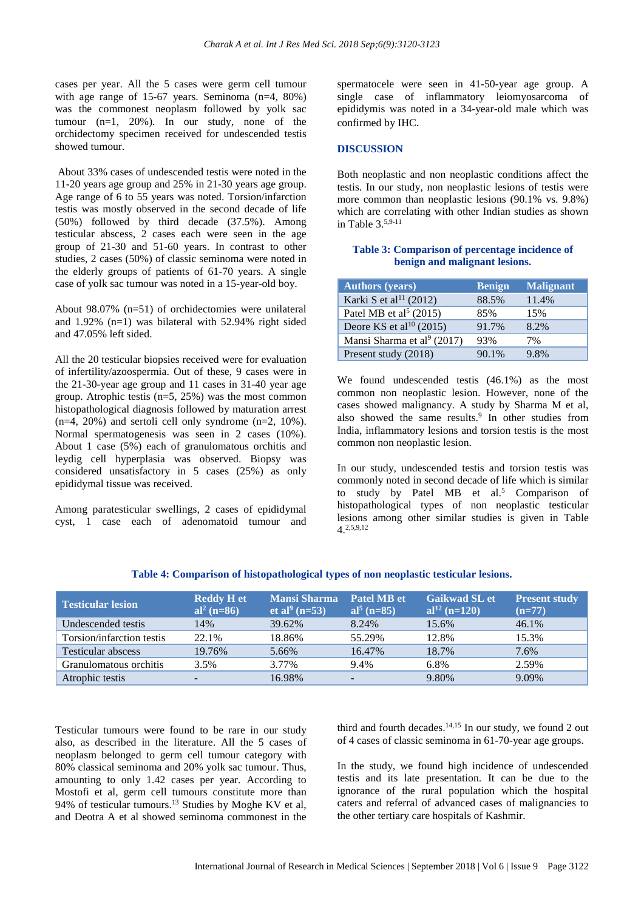cases per year. All the 5 cases were germ cell tumour with age range of 15-67 years. Seminoma (n=4, 80%) was the commonest neoplasm followed by yolk sac tumour (n=1, 20%). In our study, none of the orchidectomy specimen received for undescended testis showed tumour.

About 33% cases of undescended testis were noted in the 11-20 years age group and 25% in 21-30 years age group. Age range of 6 to 55 years was noted. Torsion/infarction testis was mostly observed in the second decade of life (50%) followed by third decade (37.5%). Among testicular abscess, 2 cases each were seen in the age group of 21-30 and 51-60 years. In contrast to other studies, 2 cases (50%) of classic seminoma were noted in the elderly groups of patients of 61-70 years. A single case of yolk sac tumour was noted in a 15-year-old boy.

About 98.07% (n=51) of orchidectomies were unilateral and 1.92% (n=1) was bilateral with 52.94% right sided and 47.05% left sided.

All the 20 testicular biopsies received were for evaluation of infertility/azoospermia. Out of these, 9 cases were in the 21-30-year age group and 11 cases in 31-40 year age group. Atrophic testis  $(n=5, 25%)$  was the most common histopathological diagnosis followed by maturation arrest  $(n=4, 20\%)$  and sertoli cell only syndrome  $(n=2, 10\%)$ . Normal spermatogenesis was seen in 2 cases (10%). About 1 case (5%) each of granulomatous orchitis and leydig cell hyperplasia was observed. Biopsy was considered unsatisfactory in 5 cases (25%) as only epididymal tissue was received.

Among paratesticular swellings, 2 cases of epididymal cyst, 1 case each of adenomatoid tumour and

spermatocele were seen in 41-50-year age group. A single case of inflammatory leiomyosarcoma of epididymis was noted in a 34-year-old male which was confirmed by IHC.

#### **DISCUSSION**

Both neoplastic and non neoplastic conditions affect the testis. In our study, non neoplastic lesions of testis were more common than neoplastic lesions (90.1% vs. 9.8%) which are correlating with other Indian studies as shown in Table 3.5,9-11

## **Table 3: Comparison of percentage incidence of benign and malignant lesions.**

| <b>Authors (years)</b>              | <b>Benign</b> | <b>Malignant</b> |
|-------------------------------------|---------------|------------------|
| Karki S et al <sup>11</sup> (2012)  | 88.5%         | 11.4%            |
| Patel MB et al <sup>5</sup> (2015)  | 85%           | 15%              |
| Deore KS et al <sup>10</sup> (2015) | 91.7%         | 8.2%             |
| Mansi Sharma et al $(2017)$         | 93%           | 7%               |
| Present study (2018)                | 90.1%         | 9.8%             |

We found undescended testis (46.1%) as the most common non neoplastic lesion. However, none of the cases showed malignancy. A study by Sharma M et al, also showed the same results.<sup>9</sup> In other studies from India, inflammatory lesions and torsion testis is the most common non neoplastic lesion.

In our study, undescended testis and torsion testis was commonly noted in second decade of life which is similar to study by Patel MB et al.<sup>5</sup> Comparison of histopathological types of non neoplastic testicular lesions among other similar studies is given in Table  $4^{2,5,9,12}$ 

| <b>Testicular lesion</b>  | <b>Reddy H et</b><br>al <sup>2</sup> (n=86) | <b>Mansi Sharma</b><br>et al <sup>9</sup> (n=53) | Patel MB et<br>al <sup>5</sup> (n=85) | <b>Gaikwad SL et</b><br>al <sup>12</sup> (n=120) | <b>Present study</b><br>$(n=77)$ |
|---------------------------|---------------------------------------------|--------------------------------------------------|---------------------------------------|--------------------------------------------------|----------------------------------|
| Undescended testis        | 14%                                         | 39.62%                                           | 8.24%                                 | 15.6%                                            | 46.1%                            |
| Torsion/infarction testis | 22.1%                                       | 18.86%                                           | 55.29%                                | 12.8%                                            | 15.3%                            |
| <b>Testicular abscess</b> | 19.76%                                      | 5.66%                                            | 16.47%                                | 18.7%                                            | 7.6%                             |
| Granulomatous orchitis    | 3.5%                                        | 3.77%                                            | 9.4%                                  | 6.8%                                             | 2.59%                            |
| Atrophic testis           | -                                           | 16.98%                                           | $\overline{\phantom{a}}$              | 9.80%                                            | 9.09%                            |

**Table 4: Comparison of histopathological types of non neoplastic testicular lesions.**

Testicular tumours were found to be rare in our study also, as described in the literature. All the 5 cases of neoplasm belonged to germ cell tumour category with 80% classical seminoma and 20% yolk sac tumour. Thus, amounting to only 1.42 cases per year. According to Mostofi et al, germ cell tumours constitute more than 94% of testicular tumours.<sup>13</sup> Studies by Moghe KV et al, and Deotra A et al showed seminoma commonest in the third and fourth decades. $14,15$  In our study, we found 2 out of 4 cases of classic seminoma in 61-70-year age groups.

In the study, we found high incidence of undescended testis and its late presentation. It can be due to the ignorance of the rural population which the hospital caters and referral of advanced cases of malignancies to the other tertiary care hospitals of Kashmir.